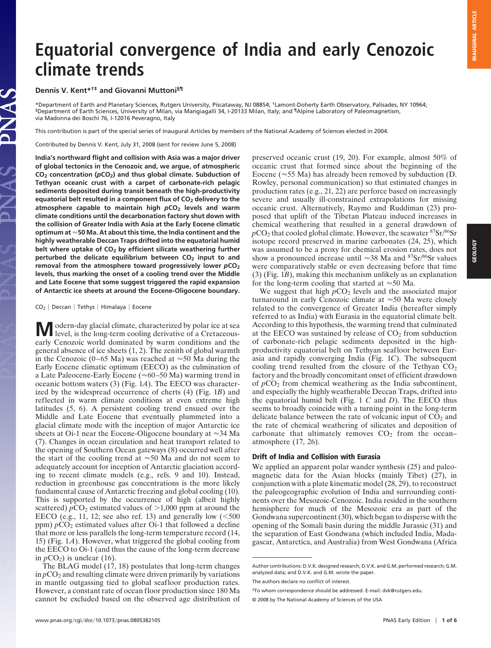# **Equatorial convergence of India and early Cenozoic climate trends**

## **Dennis V. Kent\*†‡ and Giovanni Muttoni§¶**

\*Department of Earth and Planetary Sciences, Rutgers University, Piscataway, NJ 08854; †Lamont-Doherty Earth Observatory, Palisades, NY 10964; §Department of Earth Sciences, University of Milan, via Mangiagalli 34, I-20133 Milan, Italy; and ¶Alpine Laboratory of Paleomagnetism, via Madonna dei Boschi 76, I-12016 Peveragno, Italy

This contribution is part of the special series of Inaugural Articles by members of the National Academy of Sciences elected in 2004.

Contributed by Dennis V. Kent, July 31, 2008 (sent for review June 5, 2008)

**India's northward flight and collision with Asia was a major driver of global tectonics in the Cenozoic and, we argue, of atmospheric CO2 concentration (***p***CO2) and thus global climate. Subduction of Tethyan oceanic crust with a carpet of carbonate-rich pelagic sediments deposited during transit beneath the high-productivity** equatorial belt resulted in a component flux of CO<sub>2</sub> delivery to the **atmosphere capable to maintain high** *p***CO2 levels and warm climate conditions until the decarbonation factory shut down with the collision of Greater India with Asia at the Early Eocene climatic optimum at 50 Ma. At about this time, the India continent and the highly weatherable Deccan Traps drifted into the equatorial humid belt where uptake of CO2 by efficient silicate weathering further** perturbed the delicate equilibrium between CO<sub>2</sub> input to and **removal from the atmosphere toward progressively lower** *p***CO2 levels, thus marking the onset of a cooling trend over the Middle and Late Eocene that some suggest triggered the rapid expansion of Antarctic ice sheets at around the Eocene-Oligocene boundary.**

#### $CO<sub>2</sub>$  | Deccan | Tethys | Himalaya | Eocene

**M** odern-day glacial climate, characterized by polar ice at sea level, is the long-term cooling derivative of a Cretaceousearly Cenozoic world dominated by warm conditions and the general absence of ice sheets (1, 2). The zenith of global warmth in the Cenozoic (0–65 Ma) was reached at  $\approx$  50 Ma during the Early Eocene climatic optimum (EECO) as the culmination of a Late Paleocene-Early Eocene ( $\approx 60-50$  Ma) warming trend in oceanic bottom waters (3) (Fig. 1*A*). The EECO was characterized by the widespread occurrence of cherts (4) (Fig. 1*B*) and reflected in warm climate conditions at even extreme high latitudes (5, 6). A persistent cooling trend ensued over the Middle and Late Eocene that eventually plummeted into a glacial climate mode with the inception of major Antarctic ice sheets at Oi-1 near the Eocene-Oligocene boundary at  $\approx$ 34 Ma (7). Changes in ocean circulation and heat transport related to the opening of Southern Ocean gateways (8) occurred well after the start of the cooling trend at  $\approx 50$  Ma and do not seem to adequately account for inception of Antarctic glaciation according to recent climate models (e.g., refs. 9 and 10). Instead, reduction in greenhouse gas concentrations is the more likely fundamental cause of Antarctic freezing and global cooling (10). This is supported by the occurrence of high (albeit highly scattered)  $pCO_2$  estimated values of  $>1,000$  ppm at around the EECO (e.g., 11, 12; see also ref. 13) and generally low  $(<500$ ppm)  $pCO<sub>2</sub>$  estimated values after Oi-1 that followed a decline that more or less parallels the long-term temperature record (14, 15) (Fig. 1*A*). However, what triggered the global cooling from the EECO to Oi-1 (and thus the cause of the long-term decrease in  $pCO<sub>2</sub>$ ) is unclear (16).

The BLAG model (17, 18) postulates that long-term changes in  $pCO<sub>2</sub>$  and resulting climate were driven primarily by variations in mantle outgassing tied to global seafloor production rates. However, a constant rate of ocean floor production since 180 Ma cannot be excluded based on the observed age distribution of preserved oceanic crust (19, 20). For example, almost 50% of oceanic crust that formed since about the beginning of the Eocene ( $\approx$  55 Ma) has already been removed by subduction (D. Rowley, personal communication) so that estimated changes in production rates (e.g., 21, 22) are perforce based on increasingly severe and usually ill-constrained extrapolations for missing oceanic crust. Alternatively, Raymo and Ruddiman (23) proposed that uplift of the Tibetan Plateau induced increases in chemical weathering that resulted in a general drawdown of  $pCO<sub>2</sub>$  that cooled global climate. However, the seawater  ${}^{87}Sr/{}^{86}Sr$ isotope record preserved in marine carbonates (24, 25), which was assumed to be a proxy for chemical erosion rates, does not show a pronounced increase until  $\approx 38$  Ma and  $87$ Sr/ $86$ Sr values were comparatively stable or even decreasing before that time (3) (Fig. 1*B*), making this mechanism unlikely as an explanation for the long-term cooling that started at  $\approx 50$  Ma.

We suggest that high  $pCO<sub>2</sub>$  levels and the associated major turnaround in early Cenozoic climate at  $\approx 50$  Ma were closely related to the convergence of Greater India (hereafter simply referred to as India) with Eurasia in the equatorial climate belt. According to this hypothesis, the warming trend that culminated at the EECO was sustained by release of  $CO<sub>2</sub>$  from subduction of carbonate-rich pelagic sediments deposited in the highproductivity equatorial belt on Tethyan seafloor between Eurasia and rapidly converging India (Fig. 1*C*). The subsequent cooling trend resulted from the closure of the Tethyan  $CO<sub>2</sub>$ factory and the broadly concomitant onset of efficient drawdown of  $pCO<sub>2</sub>$  from chemical weathering as the India subcontinent, and especially the highly weatherable Deccan Traps, drifted into the equatorial humid belt (Fig. 1 *C* and *D*). The EECO thus seems to broadly coincide with a turning point in the long-term delicate balance between the rate of volcanic input of  $CO<sub>2</sub>$  and the rate of chemical weathering of silicates and deposition of carbonate that ultimately removes  $CO<sub>2</sub>$  from the ocean– atmosphere (17, 26).

## **Drift of India and Collision with Eurasia**

We applied an apparent polar wander synthesis  $(25)$  and paleomagnetic data for the Asian blocks (mainly Tibet) (27), in conjunction with a plate kinematic model (28, 29), to reconstruct the paleogeographic evolution of India and surrounding continents over the Mesozoic-Cenozoic. India resided in the southern hemisphere for much of the Mesozoic era as part of the Gondwana supercontinent (30), which began to disperse with the opening of the Somali basin during the middle Jurassic (31) and the separation of East Gondwana (which included India, Madagascar, Antarctica, and Australia) from West Gondwana (Africa

Author contributions: D.V.K. designed research; D.V.K. and G.M. performed research; G.M. analyzed data; and D.V.K. and G.M. wrote the paper.

The authors declare no conflict of interest.

<sup>‡</sup>To whom correspondence should be addressed. E-mail: dvk@rutgers.edu.

<sup>© 2008</sup> by The National Academy of Sciences of the USA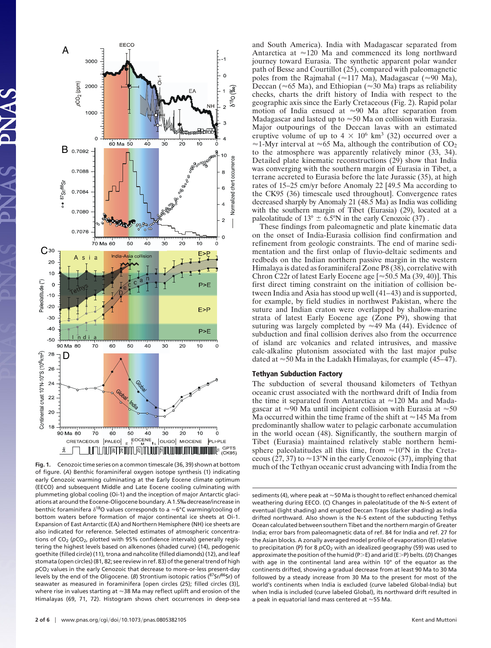

**Fig. 1.** Cenozoic time series on a common timescale (36, 39) shown at bottom of figure. (*A*) Benthic foraminiferal oxygen isotope synthesis (1) indicating early Cenozoic warming culminating at the Early Eocene climate optimum (EECO) and subsequent Middle and Late Eocene cooling culminating with plummeting global cooling (Oi-1) and the inception of major Antarctic glaciations at around the Eocene-Oligocene boundary. A 1.5‰ decrease/increase in benthic foraminifera  $\delta^{18}O$  values corresponds to a  $\approx 6^{\circ}C$  warming/cooling of bottom waters before formation of major continental ice sheets at Oi-1. Expansion of East Antarctic (EA) and Northern Hemisphere (NH) ice sheets are also indicated for reference. Selected estimates of atmospheric concentrations of CO<sub>2</sub> (pCO<sub>2</sub>, plotted with 95% confidence intervals) generally registering the highest levels based on alkenones (shaded curve) (14), pedogenic goethite (filled circle) (11), trona and nahcolite (filled diamonds) (12), and leaf stomata (open circles) (81, 82; see review in ref. 83) of the general trend of high *p*CO<sub>2</sub> values in the early Cenozoic that decrease to more-or-less present-day levels by the end of the Oligocene. (*B*) Strontium isotopic ratios (87Sr/86Sr) of seawater as measured in foraminifera [open circles (25); filled circles (3)], where rise in values starting at  $\approx$ 38 Ma may reflect uplift and erosion of the Himalayas (69, 71, 72). Histogram shows chert occurrences in deep-sea

and South America). India with Madagascar separated from Antarctica at  $\approx$  120 Ma and commenced its long northward journey toward Eurasia. The synthetic apparent polar wander path of Besse and Courtillot (25), compared with paleomagnetic poles from the Rajmahal ( $\approx$ 117 Ma), Madagascar ( $\approx$ 90 Ma), Deccan ( $\approx$  65 Ma), and Ethiopian ( $\approx$  30 Ma) traps as reliability checks, charts the drift history of India with respect to the geographic axis since the Early Cretaceous (Fig. 2). Rapid polar motion of India ensued at  $\approx 90$  Ma after separation from Madagascar and lasted up to  $\approx 50$  Ma on collision with Eurasia. Major outpourings of the Deccan lavas with an estimated eruptive volume of up to  $4 \times 10^6$  km<sup>3</sup> (32) occurred over a  $\approx$ 1-Myr interval at  $\approx$  65 Ma, although the contribution of CO<sub>2</sub> to the atmosphere was apparently relatively minor (33, 34). Detailed plate kinematic reconstructions (29) show that India was converging with the southern margin of Eurasia in Tibet, a terrane accreted to Eurasia before the late Jurassic (35), at high rates of 15–25 cm/yr before Anomaly 22 [49.5 Ma according to the CK95 (36) timescale used throughout]. Convergence rates decreased sharply by Anomaly 21 (48.5 Ma) as India was colliding with the southern margin of Tibet (Eurasia) (29), located at a paleolatitude of  $13^{\circ} \pm 6.5^{\circ}$ N in the early Cenozoic (37).

These findings from paleomagnetic and plate kinematic data on the onset of India-Eurasia collision find confirmation and refinement from geologic constraints. The end of marine sedimentation and the first onlap of fluvio-deltaic sediments and redbeds on the Indian northern passive margin in the western Himalaya is dated as foraminiferal Zone P8 (38), correlative with Chron C22r of latest Early Eocene age  $\approx 50.5$  Ma (39, 40)]. This first direct timing constraint on the initiation of collision between India and Asia has stood up well (41–43) and is supported, for example, by field studies in northwest Pakistan, where the suture and Indian craton were overlapped by shallow-marine strata of latest Early Eocene age (Zone P9), showing that suturing was largely completed by  $\approx$  49 Ma (44). Evidence of subduction and final collision derives also from the occurrence of island arc volcanics and related intrusives, and massive calc-alkaline plutonism associated with the last major pulse dated at  $\approx$  50 Ma in the Ladakh Himalayas, for example (45–47).

#### **Tethyan Subduction Factory**

The subduction of several thousand kilometers of Tethyan oceanic crust associated with the northward drift of India from the time it separated from Antarctica at  $\approx$ 120 Ma and Madagascar at  $\approx 90$  Ma until incipient collision with Eurasia at  $\approx 50$ Ma occurred within the time frame of the shift at  $\approx$ 145 Ma from predominantly shallow water to pelagic carbonate accumulation in the world ocean (48). Significantly, the southern margin of Tibet (Eurasia) maintained relatively stable northern hemisphere paleolatitudes all this time, from  $\approx 10^{\circ}$ N in the Cretaceous (27, 37) to  $\approx$  13°N in the early Cenozoic (37), implying that much of the Tethyan oceanic crust advancing with India from the

sediments (4), where peak at  $\approx$  50 Ma is thought to reflect enhanced chemical weathering during EECO. (*C*) Changes in paleolatitude of the N–S extent of eventual (light shading) and erupted Deccan Traps (darker shading) as India drifted northward. Also shown is the N–S extent of the subducting Tethys Ocean calculated between southern Tibet and the northern margin of Greater India; error bars from paleomagnetic data of ref. 84 for India and ref. 27 for the Asian blocks. A zonally averaged model profile of evaporation (E) relative to precipitation (P) for 8  $pCO<sub>2</sub>$  with an idealized geography (59) was used to approximate the position of the humid (P-E) and arid (E-P) belts. (*D*) Changes with age in the continental land area within 10° of the equator as the continents drifted, showing a gradual decrease from at least 90 Ma to 30 Ma followed by a steady increase from 30 Ma to the present for most of the world's continents when India is excluded (curve labeled Global-India) but when India is included (curve labeled Global), its northward drift resulted in a peak in equatorial land mass centered at  $\approx$  55 Ma.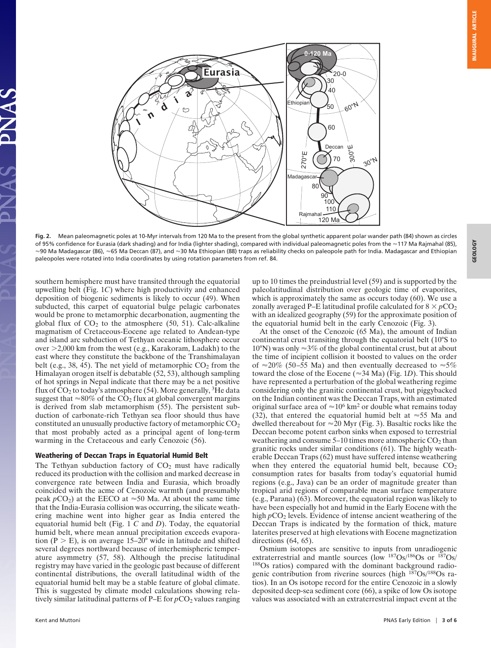3E0L0GY



**Fig. 2.** Mean paleomagnetic poles at 10-Myr intervals from 120 Ma to the present from the global synthetic apparent polar wander path (84) shown as circles of 95% confidence for Eurasia (dark shading) and for India (lighter shading), compared with individual paleomagnetic poles from the ~117 Ma Rajmahal (85),  $\approx$ 90 Ma Madagascar (86),  $\approx$ 65 Ma Deccan (87), and  $\approx$ 30 Ma Ethiopian (88) traps as reliability checks on paleopole path for India. Madagascar and Ethiopian paleopoles were rotated into India coordinates by using rotation parameters from ref. 84.

southern hemisphere must have transited through the equatorial upwelling belt (Fig. 1*C*) where high productivity and enhanced deposition of biogenic sediments is likely to occur (49). When subducted, this carpet of equatorial bulge pelagic carbonates would be prone to metamorphic decarbonation, augmenting the global flux of  $CO<sub>2</sub>$  to the atmosphere (50, 51). Calc-alkaline magmatism of Cretaceous-Eocene age related to Andean-type and island arc subduction of Tethyan oceanic lithosphere occur over -2,000 km from the west (e.g., Karakoram, Ladakh) to the east where they constitute the backbone of the Transhimalayan belt (e.g., 38, 45). The net yield of metamorphic  $CO<sub>2</sub>$  from the Himalayan orogen itself is debatable (52, 53), although sampling of hot springs in Nepal indicate that there may be a net positive flux of  $CO<sub>2</sub>$  to today's atmosphere (54). More generally, <sup>3</sup>He data suggest that  $\approx 80\%$  of the CO<sub>2</sub> flux at global convergent margins is derived from slab metamorphism (55). The persistent subduction of carbonate-rich Tethyan sea floor should thus have constituted an unusually productive factory of metamorphic CO<sub>2</sub> that most probably acted as a principal agent of long-term warming in the Cretaceous and early Cenozoic (56).

### **Weathering of Deccan Traps in Equatorial Humid Belt**

The Tethyan subduction factory of  $CO<sub>2</sub>$  must have radically reduced its production with the collision and marked decrease in convergence rate between India and Eurasia, which broadly coincided with the acme of Cenozoic warmth (and presumably peak  $pCO_2$ ) at the EECO at  $\approx 50$  Ma. At about the same time that the India-Eurasia collision was occurring, the silicate weathering machine went into higher gear as India entered the equatorial humid belt (Fig. 1 *C* and *D*). Today, the equatorial humid belt, where mean annual precipitation exceeds evaporation ( $P > E$ ), is on average 15–20° wide in latitude and shifted several degrees northward because of interhemispheric temperature asymmetry (57, 58). Although the precise latitudinal registry may have varied in the geologic past because of different continental distributions, the overall latitudinal width of the equatorial humid belt may be a stable feature of global climate. This is suggested by climate model calculations showing relatively similar latitudinal patterns of  $P-E$  for  $pCO_2$  values ranging

up to 10 times the preindustrial level (59) and is supported by the paleolatitudinal distribution over geologic time of evaporites, which is approximately the same as occurs today (60). We use a zonally averaged P–E latitudinal profile calculated for  $8 \times pCO<sub>2</sub>$ with an idealized geography (59) for the approximate position of the equatorial humid belt in the early Cenozoic (Fig. 3).

At the onset of the Cenozoic (65 Ma), the amount of Indian continental crust transiting through the equatorial belt (10°S to 10°N) was only  $\approx$ 3% of the global continental crust, but at about the time of incipient collision it boosted to values on the order of  $\approx$ 20% (50–55 Ma) and then eventually decreased to  $\approx$ 5% toward the close of the Eocene ( $\approx$ 34 Ma) (Fig. 1*D*). This should have represented a perturbation of the global weathering regime considering only the granitic continental crust, but piggybacked on the Indian continent was the Deccan Traps, with an estimated original surface area of  $\approx 10^6$  km<sup>2</sup> or double what remains today (32), that entered the equatorial humid belt at  $\approx$  55 Ma and dwelled thereabout for  $\approx$  20 Myr (Fig. 3). Basaltic rocks like the Deccan become potent carbon sinks when exposed to terrestrial weathering and consume  $5-10$  times more atmospheric  $CO<sub>2</sub>$  than granitic rocks under similar conditions (61). The highly weatherable Deccan Traps (62) must have suffered intense weathering when they entered the equatorial humid belt, because  $CO<sub>2</sub>$ consumption rates for basalts from today's equatorial humid regions (e.g., Java) can be an order of magnitude greater than tropical arid regions of comparable mean surface temperature (e.g., Parana) (63). Moreover, the equatorial region was likely to have been especially hot and humid in the Early Eocene with the high  $pCO<sub>2</sub>$  levels. Evidence of intense ancient weathering of the Deccan Traps is indicated by the formation of thick, mature laterites preserved at high elevations with Eocene magnetization directions (64, 65).

Osmium isotopes are sensitive to inputs from unradiogenic extraterrestrial and mantle sources (low  $^{187}Os/^{186}Os$  or  $^{187}Os/$ <sup>188</sup>Os ratios) compared with the dominant background radiogenic contribution from riverine sources (high  $187Os/188Os$  ratios). In an Os isotope record for the entire Cenozoic in a slowly deposited deep-sea sediment core (66), a spike of low Os isotope values was associated with an extraterrestrial impact event at the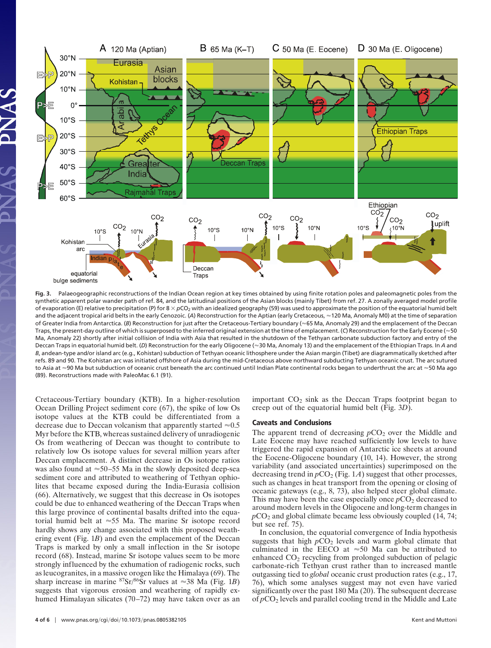

**Fig. 3.** Palaeogeographic reconstructions of the Indian Ocean region at key times obtained by using finite rotation poles and paleomagnetic poles from the synthetic apparent polar wander path of ref. 84, and the latitudinal positions of the Asian blocks (mainly Tibet) from ref. 27. A zonally averaged model profile of evaporation (E) relative to precipitation (P) for  $8 \times pCO<sub>2</sub>$  with an idealized geography (59) was used to approximate the position of the equatorial humid belt and the adjacent tropical arid belts in the early Cenozoic. (A) Reconstruction for the Aptian (early Cretaceous, ≈120 Ma, Anomaly M0) at the time of separation of Greater India from Antarctica. (B) Reconstruction for just after the Cretaceous-Tertiary boundary (~65 Ma, Anomaly 29) and the emplacement of the Deccan Traps, the present-day outline of which is superposed to the inferred original extension at the time of emplacement. (C) Reconstruction for the Early Eocene ( $\approx$  50 Ma, Anomaly 22) shortly after initial collision of India with Asia that resulted in the shutdown of the Tethyan carbonate subduction factory and entry of the Deccan Traps in equatorial humid belt. (*D*) Reconstruction for the early Oligocene (≈30 Ma, Anomaly 13) and the emplacement of the Ethiopian Traps. In *A* and *B*, andean-type and/or island arc (e.g., Kohistan) subduction of Tethyan oceanic lithosphere under the Asian margin (Tibet) are diagrammatically sketched after refs. 89 and 90. The Kohistan arc was initiated offshore of Asia during the mid-Cretaceous above northward subducting Tethyan oceanic crust. The arc sutured to Asia at  $\approx$ 90 Ma but subduction of oceanic crust beneath the arc continued until Indian Plate continental rocks began to underthrust the arc at  $\approx$  50 Ma ago (89). Reconstructions made with PaleoMac 6.1 (91).

Cretaceous-Tertiary boundary (KTB). In a higher-resolution Ocean Drilling Project sediment core (67), the spike of low Os isotope values at the KTB could be differentiated from a decrease due to Deccan volcanism that apparently started  $\approx 0.5$ Myr before the KTB, whereas sustained delivery of unradiogenic Os from weathering of Deccan was thought to contribute to relatively low Os isotope values for several million years after Deccan emplacement. A distinct decrease in Os isotope ratios was also found at  $\approx$  50–55 Ma in the slowly deposited deep-sea sediment core and attributed to weathering of Tethyan ophiolites that became exposed during the India-Eurasia collision (66). Alternatively, we suggest that this decrease in Os isotopes could be due to enhanced weathering of the Deccan Traps when this large province of continental basalts drifted into the equatorial humid belt at  $\approx$  55 Ma. The marine Sr isotope record hardly shows any change associated with this proposed weathering event (Fig. 1*B*) and even the emplacement of the Deccan Traps is marked by only a small inflection in the Sr isotope record (68). Instead, marine Sr isotope values seem to be more strongly influenced by the exhumation of radiogenic rocks, such as leucogranites, in a massive orogen like the Himalaya (69). The sharp increase in marine  ${}^{87}Sr/{}^{86}Sr$  values at  $\approx 38$  Ma (Fig. 1*B*) suggests that vigorous erosion and weathering of rapidly exhumed Himalayan silicates (70–72) may have taken over as an important  $CO<sub>2</sub>$  sink as the Deccan Traps footprint began to creep out of the equatorial humid belt (Fig. 3*D*).

## **Caveats and Conclusions**

The apparent trend of decreasing  $pCO_2$  over the Middle and Late Eocene may have reached sufficiently low levels to have triggered the rapid expansion of Antarctic ice sheets at around the Eocene-Oligocene boundary (10, 14). However, the strong variability (and associated uncertainties) superimposed on the decreasing trend in  $pCO_2$  (Fig. 1*A*) suggest that other processes, such as changes in heat transport from the opening or closing of oceanic gateways (e.g., 8, 73), also helped steer global climate. This may have been the case especially once  $pCO<sub>2</sub>$  decreased to around modern levels in the Oligocene and long-term changes in  $pCO<sub>2</sub>$  and global climate became less obviously coupled (14, 74; but see ref. 75).

In conclusion, the equatorial convergence of India hypothesis suggests that high  $pCO<sub>2</sub>$  levels and warm global climate that culminated in the EECO at  $\approx 50$  Ma can be attributed to enhanced CO<sub>2</sub> recycling from prolonged subduction of pelagic carbonate-rich Tethyan crust rather than to increased mantle outgassing tied to *global* oceanic crust production rates (e.g., 17, 76), which some analyses suggest may not even have varied significantly over the past 180 Ma (20). The subsequent decrease of  $pCO<sub>2</sub>$  levels and parallel cooling trend in the Middle and Late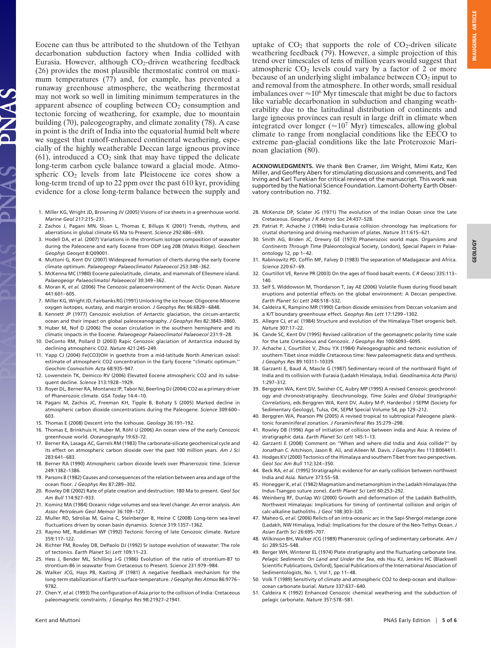Eocene can thus be attributed to the shutdown of the Tethyan decarbonation subduction factory when India collided with Eurasia. However, although  $CO<sub>2</sub>$ -driven weathering feedback (26) provides the most plausible thermostatic control on maximum temperatures (77) and, for example, has prevented a runaway greenhouse atmosphere, the weathering thermostat may not work so well in limiting minimum temperatures in the apparent absence of coupling between  $CO<sub>2</sub>$  consumption and tectonic forcing of weathering, for example, due to mountain building (70), paleogeography, and climate zonality (78). A case in point is the drift of India into the equatorial humid belt where we suggest that runoff-enhanced continental weathering, especially of the highly weatherable Deccan large igneous province (61), introduced a  $CO<sub>2</sub>$  sink that may have tipped the delicate long-term carbon cycle balance toward a glacial mode. Atmospheric  $CO<sub>2</sub>$  levels from late Pleistocene ice cores show a long-term trend of up to 22 ppm over the past 610 kyr, providing evidence for a close long-term balance between the supply and

JAS

- 1. Miller KG, Wright JD, Browning JV (2005) Visions of ice sheets in a greenhouse world. *Marine Geol* 217:215–231.
- 2. Zachos J, Pagani MN, Sloan L, Thomas E, Billups K (2001) Trends, rhythms, and aberrations in global climate 65 Ma to Present. *Science* 292:686–693.
- 3. Hodell DA, *et al.* (2007) Variations in the strontium isotope composition of seawater during the Paleocene and early Eocene from ODP Leg 208 (Walvis Ridge). *Geochem Geophys Geosyst* 8:Q09001.
- 4. Muttoni G, Kent DV (2007) Widespread formation of cherts during the early Eocene climate optimum. *Palaeogeogr Palaeoclimatol Palaeoecol* 253:348–362.
- 5. McKenna MC (1980) Eocene paleolatitude, climate, and mammals of Ellesmere island. *Palaeogeogr Palaeoclimatol Palaeoecol* 30:349–362.
- 6. Moran K, *et al.* (2006) The Cenozoic palaeoenvironment of the Arctic Ocean. *Nature* 441:601–605.
- 7. Miller KG, Wright JD, Fairbanks RG (1991) Unlocking the ice house: Oligocene-Miocene oxygen isotopes, eustasy, and margin erosion. *J Geophys Res* 96:6829–6848.
- 8. Kennett JP (1977) Cenozoic evolution of Antarctic glaciation, the circum-antarctic ocean and their impact on global paleoceanography. *J Geophys Res* 82:3843–3860.
- 9. Huber M, Nof D (2006) The ocean circulation in the southern hemisphere and its climatic impacts in the Eocene. *Palaeogeogr Palaeoclimatol Palaeoecol* 231:9–28.
- 10. DeConto RM, Pollard D (2003) Rapic Cenozoic glaciation of Antarctica induced by declining atmospheric CO2. *Nature* 421:245–249.
- 11. Yapp CJ (2004) Fe(CO3)OH in goethite from a mid-latitude North American oxisol: estimate of atmospheric CO2 concentration in the Early Eocene ''climatic optimum.'' *Geochim Cosmochim Acta* 68:935–947.
- 12. Lowenstein TK, Demicco RV (2006) Elevated Eocene atmospheric CO2 and its subsequent decline. *Science* 313:1928–1929.
- 13. Royer DL, Berner RA, Montanez IP, Tabor NJ, Beerling DJ (2004) CO2 as a primary driver of Phanerozoic climate. *GSA Today* 14:4–10.
- 14. Pagani M, Zachos JC, Freeman KH, Tipple B, Bohaty S (2005) Marked decline in atmospheric carbon dioxide concentrations during the Paleogene. *Science* 309:600– 603.
- 15. Thomas E (2008) Descent into the Icehouse. *Geology* 36:191–192.
- 16. Thomas E, Brinkhuis H, Huber M, Röhl U (2006) An ocean view of the early Cenozoic greenhouse world. *Oceanography* 19:63–72.
- 17. Berner RA, Lasaga AC, Garrels RM (1983) The carbonate-silicate geochemical cycle and its effect on atmospheric carbon dioxide over the past 100 million years. *Am J Sci* 283:641–683.
- 18. Berner RA (1990) Atmospheric carbon dioxide levels over Phanerozoic time. *Science* 249:1382–1386.
- 19. Parsons B (1982) Causes and consequences of the relation between area and age of the ocean floor. *J Geophys Res* 87:289–302.
- 20. Rowley DB (2002) Rate of plate creation and destruction: 180 Ma to present. *Geol Soc Am Bull* 114:927–933.
- 21. Kominz MA (1984) Oceanic ridge volumes and sea-level change: An error analysis. *Am Assoc Petroleum Geol Memoir* 36:109–127.
- 22. Muller RD, Sdrolias M, Gaina C, Steinberger B, Heine C (2008) Long-term sea-level fluctuations driven by ocean basin dynamics. *Science* 319:1357–1362.
- 23. Raymo ME, Ruddiman WF (1992) Tectonic forcing of late Cenozoic climate. *Nature* 359:117–122.
- 24. Richter FM, Rowley DB, DePaolo DJ (1992) Sr isotope evolution of seawater: The role of tectonics. *Earth Planet Sci Lett* 109:11–23.
- 25. Hess J, Bender ML, Schilling J-G (1986) Evolution of the ratio of strontium-87 to strontium-86 in seawater from Cretaceous to Present. *Science* 231:979–984.
- 26. Walker JCG, Hays PB, Kasting JF (1981) A negative feedback mechanism for the long-term stabilization of Earth's surface-temperature.*J Geophys Res Atmos* 86:9776– 9782.
- 27. Chen Y, *et al.* (1993) The configuration of Asia prior to the collision of India: Cretaceous paleomagnetic constraints. *J Geophys Res* 98:21927–21941.

uptake of  $CO<sub>2</sub>$  that supports the role of  $CO<sub>2</sub>$ -driven silicate weathering feedback (79). However, a simple projection of this trend over timescales of tens of million years would suggest that atmospheric  $CO<sub>2</sub>$  levels could vary by a factor of 2 or more because of an underlying slight imbalance between  $CO<sub>2</sub>$  input to and removal from the atmosphere. In other words, small residual imbalances over  $\approx 10^6$  Myr timescale that might be due to factors like variable decarbonation in subduction and changing weatherability due to the latitudinal distribution of continents and large igneous provinces can result in large drift in climate when integrated over longer ( $\approx 10^7$  Myr) timescales, allowing global climate to range from nonglacial conditions like the EECO to extreme pan-glacial conditions like the late Proterozoic Marinoan glaciation (80).

**ACKNOWLEDGMENTS.** We thank Ben Cramer, Jim Wright, Mimi Katz, Ken Miller, and Geoffery Abers for stimulating discussions and comments, and Ted Irving and Karl Turekian for critical reviews of the manuscript. This work was supported by the National Science Foundation. Lamont-Doherty Earth Observatory contribution no. 7192.

- 28. McKenzie DP, Sclater JG (1971) The evolution of the Indian Ocean since the Late Cretaceous. *Geophys J R Astron Soc* 24:437–528.
- 29. Patriat P, Achache J (1984) India-Eurasia collision chronology has implications for crustal shortening and driving mechanism of plates. *Nature* 311:615–621.
- 30. Smith AG, Briden JC, Drewry GE (1973) Phanerozoic world maps. *Organisms and Continents Through Time* (Paleontological Society, London), Special Papers in Palaeontology 12, pp 1–42.
- 31. Rabinowitz PD, Coffin MF, Falvey D (1983) The separation of Madagascar and Africa. *Science* 220:67–69.
- 32. Courtillot VE, Renne PR (2003) On the ages of flood basalt events. *C R Geosci* 335:113– 140.
- 33. Self S, Widdowson M, Thordarson T, Jay AE (2006) Volatile fluxes during flood basalt eruptions and potential effects on the global environment: A Deccan perspective. *Earth Planet Sci Lett* 248:518–532.
- 34. Caldeira K, Rampino MR (1990) Carbon dioxide emissions from Deccan volcanism and a K/T boundary greenhouse effect. *Geophys Res Lett* 17:1299–1302.
- 35. Allegre CJ, *et al.* (1984) Structure and evolution of the Himalaya-Tibet orogenic belt. *Nature* 307:17–22.
- 36. Cande SC, Kent DV (1995) Revised calibration of the geomagnetic polarity time scale for the Late Cretaceous and Cenozoic. *J Geophys Res* 100:6093–6095.
- 37. Achache J, Courtillot V, Zhou YX (1984) Paleogeographic and tectonic evolution of southern Tibet since middle Cretaceous time: New paleomagnetic data and synthesis. *J Geophys Res* 89:10311–10339.
- 38. Garzanti E, Baud A, Mascle G (1987) Sedimentary record of the northward flight of India and its collision with Eurasia (Ladakh Himalaya, India). *Geodinamica Acta (Paris)* 1:297–312.
- 39. Berggren WA, Kent DV, Swisher CC, Aubry MP (1995) A revised Cenozoic geochronology and chronostratigraphy. *Geochronology, Time Scales and Global Stratigraphic Correlations*, eds Berggren WA, Kent DV, Aubry M-P, Hardenbol J SEPM (Society for Sedimentary Geology), Tulsa, OK, SEPM Special Volume 54, pp 129–212.
- 40. Berggren WA, Pearson PN (2005) A revised tropical to subtropical Paleogene planktonic foraminiferal zonation. *J Foraminiferal Res* 35:279–298.
- 41. Rowley DB (1996) Age of initiation of collision between india and Asia: A review of stratigraphic data. *Earth Planet Sci Lett* 145:1–13.
- 42. Garzanti E (2008) Comment on ''When and where did India and Asia collide?'' by Jonathan C. Aitchison, Jason R. Ali, and Aileen M. Davis. *J Geophys Res* 113:B004411.
- 43. Hodges KV (2000) Tectonics of the Himalaya and southern Tibet from two perspectives. *Geol Soc Am Bull* 112:324–350.
- 44. Beck RA, *et al.* (1995) Stratigraphic evidence for an early collision between northwest India and Asia. *Nature* 373:55–58.
- 45. Honegger K, *et al.*(1982) Magmatism and metamorphism in the Ladakh Himalayas (the Indus-Tsangpo suture zone). *Earth Planet Sci Lett* 60:253–292.
- 46. Weinberg RF, Dunlap WJ (2000) Growth and deformation of the Ladakh Batholith, Northwest Himalayas: Implications for timing of continental collision and origin of calc-alkaline batholiths. *J Geol* 108:303–320.
- 47. Maheo G, *et al.* (2006) Relicts of an intra-oceanic arc in the Sapi-Shergol melange zone (Ladakh, NW Himalaya, India): Implications for the closure of the Neo-Tethys Ocean. *J Asian Earth Sci* 26:695–707.
- 48. Wilkinson BH, Walker JCG (1989) Phanerozoic cycling of sedimentary carbonate. *Am J Sci* 289:525–548.
- 49. Berger WH, Winterer EL (1974) Plate stratigraphy and the fluctuating carbonate line. *Pelagic Sediments: On Land and Under the Sea*, eds Hsu KJ, Jenkins HC (Blackwell Scientific Publications, Oxford), Special Publications of the International Association of Sedimentologists, No. 1, Vol 1, pp 11–48.
- 50. Volk T (1989) Sensitivity of climate and atmospheric CO2 to deep-ocean and shallowocean carbonate burial. *Nature* 337:637–640.
- 51. Caldeira K (1992) Enhanced Cenozoic chemical weathering and the subduction of pelagic carbonate. *Nature* 357:578–581.